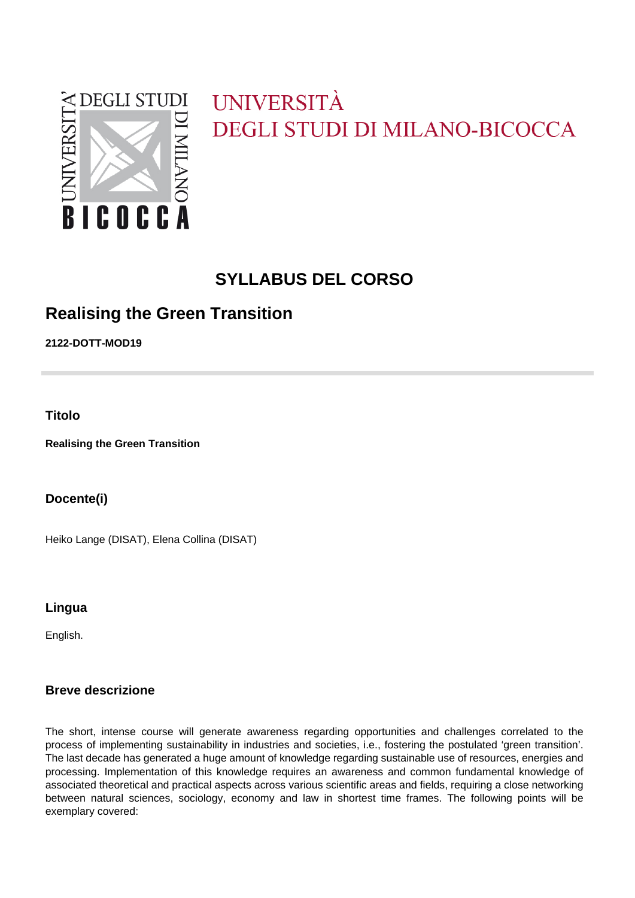

# UNIVERSITÀ **DEGLI STUDI DI MILANO-BICOCCA**

# **SYLLABUS DEL CORSO**

## **Realising the Green Transition**

**2122-DOTT-MOD19**

**Titolo**

**Realising the Green Transition**

**Docente(i)**

Heiko Lange (DISAT), Elena Collina (DISAT)

**Lingua**

English.

### **Breve descrizione**

The short, intense course will generate awareness regarding opportunities and challenges correlated to the process of implementing sustainability in industries and societies, i.e., fostering the postulated 'green transition'. The last decade has generated a huge amount of knowledge regarding sustainable use of resources, energies and processing. Implementation of this knowledge requires an awareness and common fundamental knowledge of associated theoretical and practical aspects across various scientific areas and fields, requiring a close networking between natural sciences, sociology, economy and law in shortest time frames. The following points will be exemplary covered: